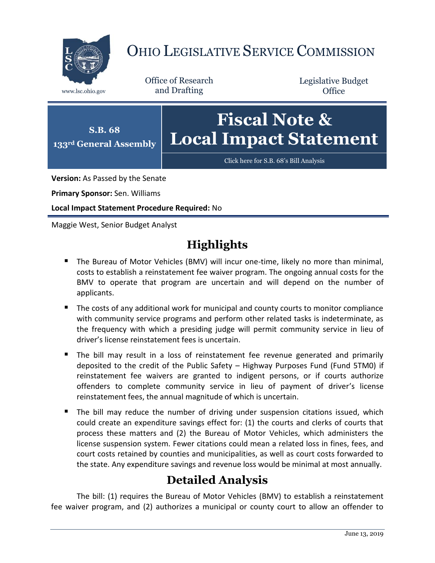

# OHIO LEGISLATIVE SERVICE COMMISSION

Office of Research www.lsc.ohio.gov and Drafting

Legislative Budget **Office** 



[Click here for S.B. 68](https://www.legislature.ohio.gov/legislation/legislation-documents?id=GA133-SB-68)'s Bill Analysis

**Version:** As Passed by the Senate

**Primary Sponsor:** Sen. Williams

**Local Impact Statement Procedure Required:** No

Maggie West, Senior Budget Analyst

## **Highlights**

- The Bureau of Motor Vehicles (BMV) will incur one-time, likely no more than minimal, costs to establish a reinstatement fee waiver program. The ongoing annual costs for the BMV to operate that program are uncertain and will depend on the number of applicants.
- The costs of any additional work for municipal and county courts to monitor compliance with community service programs and perform other related tasks is indeterminate, as the frequency with which a presiding judge will permit community service in lieu of driver's license reinstatement fees is uncertain.
- The bill may result in a loss of reinstatement fee revenue generated and primarily deposited to the credit of the Public Safety – Highway Purposes Fund (Fund 5TM0) if reinstatement fee waivers are granted to indigent persons, or if courts authorize offenders to complete community service in lieu of payment of driver's license reinstatement fees, the annual magnitude of which is uncertain.
- The bill may reduce the number of driving under suspension citations issued, which could create an expenditure savings effect for: (1) the courts and clerks of courts that process these matters and (2) the Bureau of Motor Vehicles, which administers the license suspension system. Fewer citations could mean a related loss in fines, fees, and court costs retained by counties and municipalities, as well as court costs forwarded to the state. Any expenditure savings and revenue loss would be minimal at most annually.

## **Detailed Analysis**

The bill: (1) requires the Bureau of Motor Vehicles (BMV) to establish a reinstatement fee waiver program, and (2) authorizes a municipal or county court to allow an offender to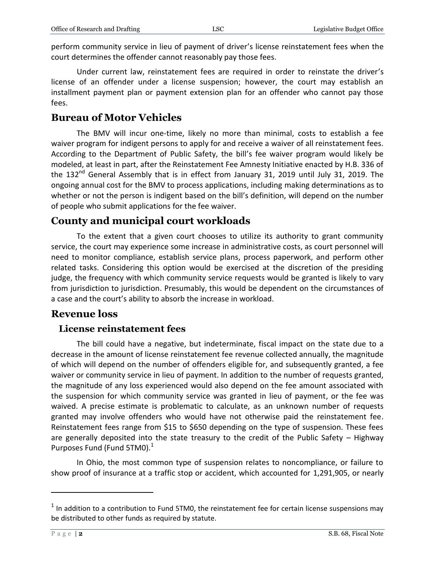perform community service in lieu of payment of driver's license reinstatement fees when the court determines the offender cannot reasonably pay those fees.

Under current law, reinstatement fees are required in order to reinstate the driver's license of an offender under a license suspension; however, the court may establish an installment payment plan or payment extension plan for an offender who cannot pay those fees.

#### **Bureau of Motor Vehicles**

The BMV will incur one-time, likely no more than minimal, costs to establish a fee waiver program for indigent persons to apply for and receive a waiver of all reinstatement fees. According to the Department of Public Safety, the bill's fee waiver program would likely be modeled, at least in part, after the Reinstatement Fee Amnesty Initiative enacted by H.B. 336 of the  $132<sup>nd</sup>$  General Assembly that is in effect from January 31, 2019 until July 31, 2019. The ongoing annual cost for the BMV to process applications, including making determinations as to whether or not the person is indigent based on the bill's definition, will depend on the number of people who submit applications for the fee waiver.

#### **County and municipal court workloads**

To the extent that a given court chooses to utilize its authority to grant community service, the court may experience some increase in administrative costs, as court personnel will need to monitor compliance, establish service plans, process paperwork, and perform other related tasks. Considering this option would be exercised at the discretion of the presiding judge, the frequency with which community service requests would be granted is likely to vary from jurisdiction to jurisdiction. Presumably, this would be dependent on the circumstances of a case and the court's ability to absorb the increase in workload.

### **Revenue loss**

#### **License reinstatement fees**

The bill could have a negative, but indeterminate, fiscal impact on the state due to a decrease in the amount of license reinstatement fee revenue collected annually, the magnitude of which will depend on the number of offenders eligible for, and subsequently granted, a fee waiver or community service in lieu of payment. In addition to the number of requests granted, the magnitude of any loss experienced would also depend on the fee amount associated with the suspension for which community service was granted in lieu of payment, or the fee was waived. A precise estimate is problematic to calculate, as an unknown number of requests granted may involve offenders who would have not otherwise paid the reinstatement fee. Reinstatement fees range from \$15 to \$650 depending on the type of suspension. These fees are generally deposited into the state treasury to the credit of the Public Safety – Highway Purposes Fund (Fund 5TM0).<sup>1</sup>

In Ohio, the most common type of suspension relates to noncompliance, or failure to show proof of insurance at a traffic stop or accident, which accounted for 1,291,905, or nearly

 $\overline{a}$ 

 $<sup>1</sup>$  In addition to a contribution to Fund 5TM0, the reinstatement fee for certain license suspensions may</sup> be distributed to other funds as required by statute.